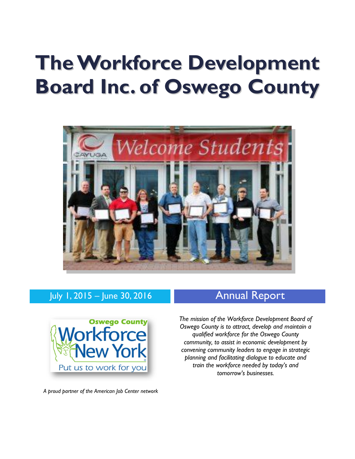# **TheWorkforce Development Board Inc. of Oswego County**



# July 1, 2015 – June 30, 2016 **Annual Report**



*A proud partner of the American Job Center network*

*The mission of the Workforce Development Board of Oswego County is to attract, develop and maintain a qualified workforce for the Oswego County community, to assist in economic development by convening community leaders to engage in strategic planning and facilitating dialogue to educate and train the workforce needed by today's and tomorrow's businesses.*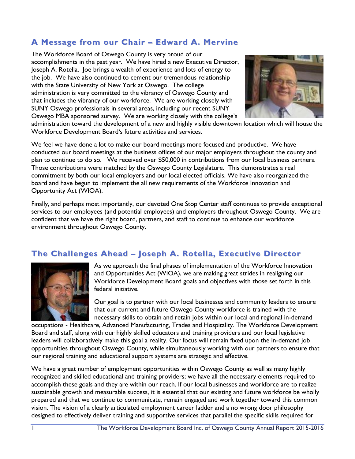# **A Message from our Chair – Edward A. Mervine**

The Workforce Board of Oswego County is very proud of our accomplishments in the past year. We have hired a new Executive Director, Joseph A. Rotella. Joe brings a wealth of experience and lots of energy to the job. We have also continued to cement our tremendous relationship with the State University of New York at Oswego. The college administration is very committed to the vibrancy of Oswego County and that includes the vibrancy of our workforce. We are working closely with SUNY Oswego professionals in several areas, including our recent SUNY Oswego MBA sponsored survey. We are working closely with the college's



administration toward the development of a new and highly visible downtown location which will house the Workforce Development Board's future activities and services.

We feel we have done a lot to make our board meetings more focused and productive. We have conducted our board meetings at the business offices of our major employers throughout the county and plan to continue to do so. We received over \$50,000 in contributions from our local business partners. Those contributions were matched by the Oswego County Legislature. This demonstrates a real commitment by both our local employers and our local elected officials. We have also reorganized the board and have begun to implement the all new requirements of the Workforce Innovation and Opportunity Act (WIOA).

Finally, and perhaps most importantly, our devoted One Stop Center staff continues to provide exceptional services to our employees (and potential employees) and employers throughout Oswego County. We are confident that we have the right board, partners, and staff to continue to enhance our workforce environment throughout Oswego County.

### **The Challenges Ahead – Joseph A. Rotella, Executive Director**



As we approach the final phases of implementation of the Workforce Innovation and Opportunities Act (WIOA), we are making great strides in realigning our Workforce Development Board goals and objectives with those set forth in this federal initiative.

Our goal is to partner with our local businesses and community leaders to ensure that our current and future Oswego County workforce is trained with the necessary skills to obtain and retain jobs within our local and regional in-demand

occupations - Healthcare, Advanced Manufacturing, Trades and Hospitality. The Workforce Development Board and staff, along with our highly skilled educators and training providers and our local legislative leaders will collaboratively make this goal a reality. Our focus will remain fixed upon the in-demand job opportunities throughout Oswego County, while simultaneously working with our partners to ensure that our regional training and educational support systems are strategic and effective.

We have a great number of employment opportunities within Oswego County as well as many highly recognized and skilled educational and training providers; we have all the necessary elements required to accomplish these goals and they are within our reach. If our local businesses and workforce are to realize sustainable growth and measurable success, it is essential that our existing and future workforce be wholly prepared and that we continue to communicate, remain engaged and work together toward this common vision. The vision of a clearly articulated employment career ladder and a no wrong door philosophy designed to effectively deliver training and supportive services that parallel the specific skills required for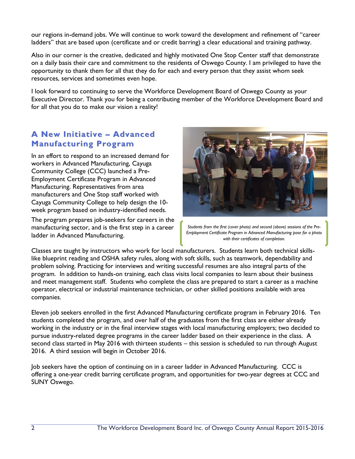our regions in-demand jobs. We will continue to work toward the development and refinement of "career ladders" that are based upon (certificate and or credit barring) a clear educational and training pathway.

Also in our corner is the creative, dedicated and highly motivated One Stop Center staff that demonstrate on a daily basis their care and commitment to the residents of Oswego County. I am privileged to have the opportunity to thank them for all that they do for each and every person that they assist whom seek resources, services and sometimes even hope.

I look forward to continuing to serve the Workforce Development Board of Oswego County as your Executive Director. Thank you for being a contributing member of the Workforce Development Board and for all that you do to make our vision a reality!

## **A New Initiative – Advanced Manufacturing Program**

In an effort to respond to an increased demand for workers in Advanced Manufacturing, Cayuga Community College (CCC) launched a Pre-Employment Certificate Program in Advanced Manufacturing. Representatives from area manufacturers and One Stop staff worked with Cayuga Community College to help design the 10 week program based on industry-identified needs.

The program prepares job-seekers for careers in the manufacturing sector, and is the first step in a career ladder in Advanced Manufacturing.



*Students from the first (cover photo) and second (above) sessions of the Pre-Employment Certificate Program in Advanced Manufacturing pose for a photo with their certificates of completion.*

Classes are taught by instructors who work for local manufacturers. Students learn both technical skillslike blueprint reading and OSHA safety rules, along with soft skills, such as teamwork, dependability and problem solving. Practicing for interviews and writing successful resumes are also integral parts of the program. In addition to hands-on training, each class visits local companies to learn about their business and meet management staff. Students who complete the class are prepared to start a career as a machine operator, electrical or industrial maintenance technician, or other skilled positions available with area companies.

Eleven job seekers enrolled in the first Advanced Manufacturing certificate program in February 2016. Ten students completed the program, and over half of the graduates from the first class are either already working in the industry or in the final interview stages with local manufacturing employers; two decided to pursue industry-related degree programs in the career ladder based on their experience in the class. A second class started in May 2016 with thirteen students – this session is scheduled to run through August 2016. A third session will begin in October 2016.

Job seekers have the option of continuing on in a career ladder in Advanced Manufacturing. CCC is offering a one-year credit barring certificate program, and opportunities for two-year degrees at CCC and SUNY Oswego.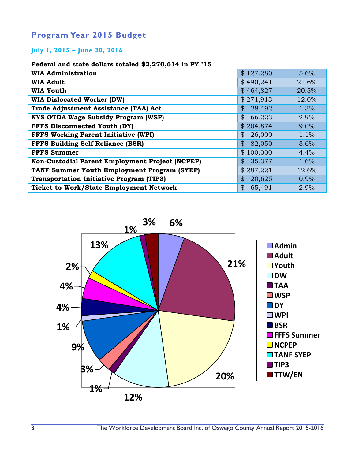# **Program Year 2015 Budget**

#### **July 1, 2015 – June 30, 2016**

#### **Federal and state dollars totaled \$2,270,614 in PY '15**

| \$127,280<br><b>WIA Administration</b><br>5.6%<br>\$490,241<br><b>WIA Adult</b><br>21.6%<br>\$464,827<br>20.5%<br><b>WIA Youth</b><br>\$271,913<br><b>WIA Dislocated Worker (DW)</b><br>12.0%<br><b>Trade Adjustment Assistance (TAA) Act</b><br>28,492<br>1.3%<br>$\mathfrak{B}$<br><b>NYS OTDA Wage Subsidy Program (WSP)</b><br>$\boldsymbol{\mathcal{Z}}$<br>66,223<br>2.9%<br><b>FFFS Disconnected Youth (DY)</b><br>\$204,874<br>9.0%<br><b>FFFS Working Parent Initiative (WPI)</b><br>26,000<br>$\mathcal{S}$<br>1.1%<br><b>FFFS Building Self Reliance (BSR)</b><br>$\mathfrak{B}$<br>82,050<br>3.6%<br><b>FFFS Summer</b><br>\$100,000<br>4.4%<br>35,377<br>Non-Custodial Parent Employment Project (NCPEP)<br>$\mathcal{S}$<br>1.6%<br>\$287,221<br><b>TANF Summer Youth Employment Program (SYEP)</b><br>12.6%<br><b>Transportation Initiative Program (TIP3)</b><br>20,625<br>0.9%<br>$\mathcal{S}$ |                                                |              |      |
|------------------------------------------------------------------------------------------------------------------------------------------------------------------------------------------------------------------------------------------------------------------------------------------------------------------------------------------------------------------------------------------------------------------------------------------------------------------------------------------------------------------------------------------------------------------------------------------------------------------------------------------------------------------------------------------------------------------------------------------------------------------------------------------------------------------------------------------------------------------------------------------------------------------|------------------------------------------------|--------------|------|
|                                                                                                                                                                                                                                                                                                                                                                                                                                                                                                                                                                                                                                                                                                                                                                                                                                                                                                                  |                                                |              |      |
|                                                                                                                                                                                                                                                                                                                                                                                                                                                                                                                                                                                                                                                                                                                                                                                                                                                                                                                  |                                                |              |      |
|                                                                                                                                                                                                                                                                                                                                                                                                                                                                                                                                                                                                                                                                                                                                                                                                                                                                                                                  |                                                |              |      |
|                                                                                                                                                                                                                                                                                                                                                                                                                                                                                                                                                                                                                                                                                                                                                                                                                                                                                                                  |                                                |              |      |
|                                                                                                                                                                                                                                                                                                                                                                                                                                                                                                                                                                                                                                                                                                                                                                                                                                                                                                                  |                                                |              |      |
|                                                                                                                                                                                                                                                                                                                                                                                                                                                                                                                                                                                                                                                                                                                                                                                                                                                                                                                  |                                                |              |      |
|                                                                                                                                                                                                                                                                                                                                                                                                                                                                                                                                                                                                                                                                                                                                                                                                                                                                                                                  |                                                |              |      |
|                                                                                                                                                                                                                                                                                                                                                                                                                                                                                                                                                                                                                                                                                                                                                                                                                                                                                                                  |                                                |              |      |
|                                                                                                                                                                                                                                                                                                                                                                                                                                                                                                                                                                                                                                                                                                                                                                                                                                                                                                                  |                                                |              |      |
|                                                                                                                                                                                                                                                                                                                                                                                                                                                                                                                                                                                                                                                                                                                                                                                                                                                                                                                  |                                                |              |      |
|                                                                                                                                                                                                                                                                                                                                                                                                                                                                                                                                                                                                                                                                                                                                                                                                                                                                                                                  |                                                |              |      |
|                                                                                                                                                                                                                                                                                                                                                                                                                                                                                                                                                                                                                                                                                                                                                                                                                                                                                                                  |                                                |              |      |
|                                                                                                                                                                                                                                                                                                                                                                                                                                                                                                                                                                                                                                                                                                                                                                                                                                                                                                                  |                                                |              |      |
|                                                                                                                                                                                                                                                                                                                                                                                                                                                                                                                                                                                                                                                                                                                                                                                                                                                                                                                  | <b>Ticket-to-Work/State Employment Network</b> | \$<br>65,491 | 2.9% |

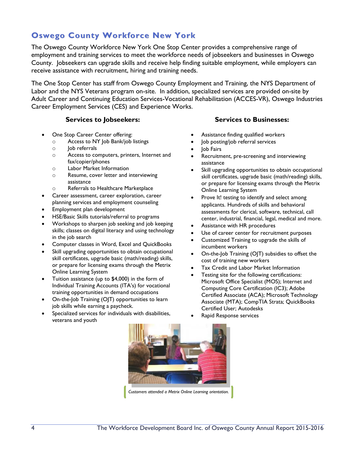# **Oswego County Workforce New York**

The Oswego County Workforce New York One Stop Center provides a comprehensive range of employment and training services to meet the workforce needs of jobseekers and businesses in Oswego County. Jobseekers can upgrade skills and receive help finding suitable employment, while employers can receive assistance with recruitment, hiring and training needs.

The One Stop Center has staff from Oswego County Employment and Training, the NYS Department of Labor and the NYS Veterans program on-site. In addition, specialized services are provided on-site by Adult Career and Continuing Education Services-Vocational Rehabilitation (ACCES-VR), Oswego Industries Career Employment Services (CES) and Experience Works.

#### **Services to Jobseekers: Services to Businesses:**

- One Stop Career Center offering:
	- o Access to NY Job Bank/job listings
	- $\circ$  Iob referrals
	- o Access to computers, printers, Internet and fax/copier/phones
	- o Labor Market Information
	- o Resume, cover letter and interviewing assistance
	- o Referrals to Healthcare Marketplace
- Career assessment, career exploration, career planning services and employment counseling
- Employment plan development
- HSE/Basic Skills tutorials/referral to programs
- Workshops to sharpen job seeking and job keeping skills; classes on digital literacy and using technology in the job search
- Computer classes in Word, Excel and QuickBooks
- Skill upgrading opportunities to obtain occupational skill certificates, upgrade basic (math/reading) skills, or prepare for licensing exams through the Metrix Online Learning System
- Tuition assistance (up to \$4,000) in the form of Individual Training Accounts (ITA's) for vocational training opportunities in demand occupations
- On-the-Job Training (OJT) opportunities to learn job skills while earning a paycheck.
- Specialized services for individuals with disabilities, veterans and youth

- Assistance finding qualified workers
- Job posting/job referral services
- Job Fairs
- Recruitment, pre-screening and interviewing assistance
- Skill upgrading opportunities to obtain occupational skill certificates, upgrade basic (math/reading) skills, or prepare for licensing exams through the Metrix Online Learning System
- Prove It! testing to identify and select among applicants. Hundreds of skills and behavioral assessments for clerical, software, technical, call center, industrial, financial, legal, medical and more.
- Assistance with HR procedures
- Use of career center for recruitment purposes
- Customized Training to upgrade the skills of incumbent workers
- On-the-Job Training (OJT) subsidies to offset the cost of training new workers
- Tax Credit and Labor Market Information
- Testing site for the following certifications: Microsoft Office Specialist (MOS); Internet and Computing Core Certification (IC3); Adobe Certified Associate (ACA); Microsoft Technology Associate (MTA); CompTIA Strata; QuickBooks Certified User; Autodesks
- Rapid Response services

*Customers attended a Metrix Online Learning orientation.*

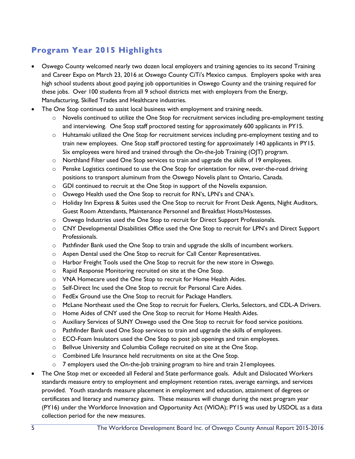# **Program Year 2015 Highlights**

- Oswego County welcomed nearly two dozen local employers and training agencies to its second Training and Career Expo on March 23, 2016 at Oswego County CiTi's Mexico campus. Employers spoke with area high school students about good paying job opportunities in Oswego County and the training required for these jobs. Over 100 students from all 9 school districts met with employers from the Energy, Manufacturing, Skilled Trades and Healthcare industries.
- The One Stop continued to assist local business with employment and training needs.
	- $\circ$  Novelis continued to utilize the One Stop for recruitment services including pre-employment testing and interviewing. One Stop staff proctored testing for approximately 600 applicants in PY15.
	- o Huhtamaki utilized the One Stop for recruitment services including pre-employment testing and to train new employees. One Stop staff proctored testing for approximately 140 applicants in PY15. Six employees were hired and trained through the On-the-Job Training (OJT) program.
	- o Northland Filter used One Stop services to train and upgrade the skills of 19 employees.
	- o Penske Logistics continued to use the One Stop for orientation for new, over-the-road driving positions to transport aluminum from the Oswego Novelis plant to Ontario, Canada.
	- o GDI continued to recruit at the One Stop in support of the Novelis expansion.
	- o Oswego Health used the One Stop to recruit for RN's, LPN's and CNA's.
	- o Holiday Inn Express & Suites used the One Stop to recruit for Front Desk Agents, Night Auditors, Guest Room Attendants, Maintenance Personnel and Breakfast Hosts/Hostesses.
	- o Oswego Industries used the One Stop to recruit for Direct Support Professionals.
	- o CNY Developmental Disabilities Office used the One Stop to recruit for LPN's and Direct Support Professionals.
	- o Pathfinder Bank used the One Stop to train and upgrade the skills of incumbent workers.
	- o Aspen Dental used the One Stop to recruit for Call Center Representatives.
	- $\circ$  Harbor Freight Tools used the One Stop to recruit for the new store in Oswego.
	- o Rapid Response Monitoring recruited on site at the One Stop.
	- o VNA Homecare used the One Stop to recruit for Home Health Aides.
	- o Self-Direct Inc used the One Stop to recruit for Personal Care Aides.
	- o FedEx Ground use the One Stop to recruit for Package Handlers.
	- o McLane Northeast used the One Stop to recruit for Fuelers, Clerks, Selectors, and CDL-A Drivers.
	- $\circ$  Home Aides of CNY used the One Stop to recruit for Home Health Aides.
	- o Auxiliary Services of SUNY Oswego used the One Stop to recruit for food service positions.
	- o Pathfinder Bank used One Stop services to train and upgrade the skills of employees.
	- $\circ$  ECO-Foam Insulators used the One Stop to post job openings and train employees.
	- o Bellvue University and Columbia College recruited on site at the One Stop.
	- o Combined Life Insurance held recruitments on site at the One Stop.
	- $\circ$  7 employers used the On-the-Job training program to hire and train 21 employees.
- The One Stop met or exceeded all Federal and State performance goals. Adult and Dislocated Workers standards measure entry to employment and employment retention rates, average earnings, and services provided. Youth standards measure placement in employment and education, attainment of degrees or certificates and literacy and numeracy gains. These measures will change during the next program year (PY16) under the Workforce Innovation and Opportunity Act (WIOA); PY15 was used by USDOL as a data collection period for the new measures.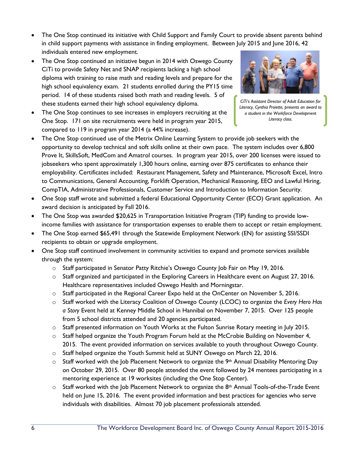- The One Stop continued its initiative with Child Support and Family Court to provide absent parents behind in child support payments with assistance in finding employment. Between July 2015 and June 2016, 42 individuals entered new employment.
- The One Stop continued an initiative begun in 2014 with Oswego County CiTi to provide Safety Net and SNAP recipients lacking a high school diploma with training to raise math and reading levels and prepare for the high school equivalency exam. 21 students enrolled during the PY15 time period. 14 of these students raised both math and reading levels. 5 of these students earned their high school equivalency diploma.
- The One Stop continues to see increases in employers recruiting at the One Stop. 171 on site recruitments were held in program year 2015, compared to 119 in program year 2014 (a 44% increase).



*CiTi's Assistant Director of Adult Education for Literacy, Cynthia Proiette, presents an award to a student in the Workforce Development Literacy class.*

- The One Stop continued use of the Metrix Online Learning System to provide job seekers with the opportunity to develop technical and soft skills online at their own pace. The system includes over 6,800 Prove It, SkillsSoft, MedCom and Amatrol courses. In program year 2015, over 200 licenses were issued to jobseekers who spent approximately 1,300 hours online, earning over 875 certificates to enhance their employability. Certificates included: Restaurant Management, Safety and Maintenance, Microsoft Excel, Intro to Communications, General Accounting, Forklift Operation, Mechanical Reasoning, EEO and Lawful Hiring, CompTIA, Administrative Professionals, Customer Service and Introduction to Information Security.
- One Stop staff wrote and submitted a federal Educational Opportunity Center (ECO) Grant application. An award decision is anticipated by Fall 2016.
- The One Stop was awarded \$20,625 in Transportation Initiative Program (TIP) funding to provide lowincome families with assistance for transportation expenses to enable them to accept or retain employment.
- The One Stop earned \$65,491 through the Statewide Employment Network (EN) for assisting SSI/SSDI recipients to obtain or upgrade employment.
- One Stop staff continued involvement in community activities to expand and promote services available through the system:
	- o Staff participated in Senator Patty Ritchie's Oswego County Job Fair on May 19, 2016.
	- $\circ$  Staff organized and participated in the Exploring Careers in Healthcare event on August 27, 2016. Healthcare representatives included Oswego Health and Morningstar.
	- o Staff participated in the Regional Career Expo held at the OnCenter on November 5, 2016.
	- o Staff worked with the Literacy Coalition of Oswego County (LCOC) to organize the *Every Hero Has a Story* Event held at Kenney Middle School in Hannibal on November 7, 2015. Over 125 people from 5 school districts attended and 20 agencies participated.
	- o Staff presented information on Youth Works at the Fulton Sunrise Rotary meeting in July 2015.
	- $\circ$  Staff helped organize the Youth Program Forum held at the McCrobie Building on November 4, 2015. The event provided information on services available to youth throughout Oswego County.
	- $\circ$  Staff helped organize the Youth Summit held at SUNY Oswego on March 22, 2016.
	- $\circ$  Staff worked with the Job Placement Network to organize the 9<sup>th</sup> Annual Disability Mentoring Day on October 29, 2015. Over 80 people attended the event followed by 24 mentees participating in a mentoring experience at 19 worksites (including the One Stop Center).
	- $\circ$  Staff worked with the Job Placement Network to organize the 8<sup>th</sup> Annual Tools-of-the-Trade Event held on June 15, 2016. The event provided information and best practices for agencies who serve individuals with disabilities. Almost 70 job placement professionals attended.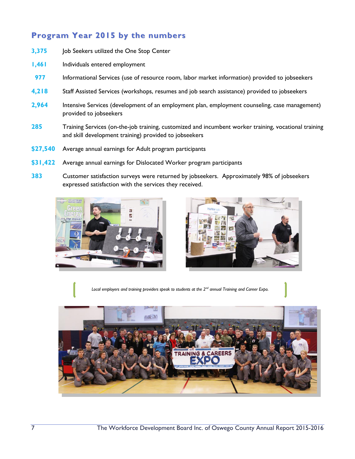# **Program Year 2015 by the numbers**

- **3,375** Job Seekers utilized the One Stop Center
- **1,461** Individuals entered employment
- **977** Informational Services (use of resource room, labor market information) provided to jobseekers
- **4,218** Staff Assisted Services (workshops, resumes and job search assistance) provided to jobseekers
- **2,964** Intensive Services (development of an employment plan, employment counseling, case management) provided to jobseekers
- **285** Training Services (on-the-job training, customized and incumbent worker training, vocational training and skill development training) provided to jobseekers
- **\$27,540** Average annual earnings for Adult program participants
- **\$31,422** Average annual earnings for Dislocated Worker program participants
- **383** Customer satisfaction surveys were returned by jobseekers. Approximately 98% of jobseekers expressed satisfaction with the services they received.





*Local employers and training providers speak to students at the 2nd annual Training and Career Expo.*

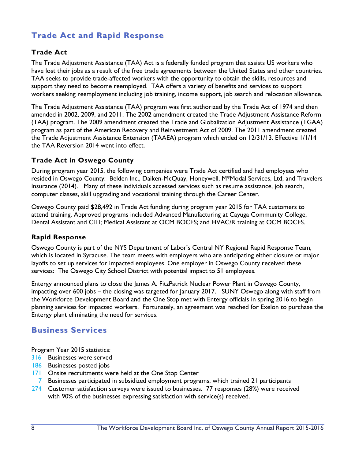# **Trade Act and Rapid Response**

#### **Trade Act**

The Trade Adjustment Assistance (TAA) Act is a federally funded program that assists US workers who have lost their jobs as a result of the free trade agreements between the United States and other countries. TAA seeks to provide trade-affected workers with the opportunity to obtain the skills, resources and support they need to become reemployed. TAA offers a variety of benefits and services to support workers seeking reemployment including job training, income support, job search and relocation allowance.

The Trade Adjustment Assistance (TAA) program was first authorized by the Trade Act of 1974 and then amended in 2002, 2009, and 2011. The 2002 amendment created the Trade Adjustment Assistance Reform (TAA) program. The 2009 amendment created the Trade and Globalization Adjustment Assistance (TGAA) program as part of the American Recovery and Reinvestment Act of 2009. The 2011 amendment created the Trade Adjustment Assistance Extension (TAAEA) program which ended on 12/31/13. Effective 1/1/14 the TAA Reversion 2014 went into effect.

#### **Trade Act in Oswego County**

During program year 2015, the following companies were Trade Act certified and had employees who resided in Oswego County: Belden Inc., Daiken-McQuay, Honeywell, M\*Modal Services, Ltd, and Travelers Insurance (2014). Many of these individuals accessed services such as resume assistance, job search, computer classes, skill upgrading and vocational training through the Career Center.

Oswego County paid \$28,492 in Trade Act funding during program year 2015 for TAA customers to attend training. Approved programs included Advanced Manufacturing at Cayuga Community College, Dental Assistant and CiTi; Medical Assistant at OCM BOCES; and HVAC/R training at OCM BOCES.

#### **Rapid Response**

Oswego County is part of the NYS Department of Labor's Central NY Regional Rapid Response Team, which is located in Syracuse. The team meets with employers who are anticipating either closure or major layoffs to set up services for impacted employees. One employer in Oswego County received these services: The Oswego City School District with potential impact to 51 employees.

Entergy announced plans to close the James A. FitzPatrick Nuclear Power Plant in Oswego County, impacting over 600 jobs – the closing was targeted for January 2017. SUNY Oswego along with staff from the Workforce Development Board and the One Stop met with Entergy officials in spring 2016 to begin planning services for impacted workers. Fortunately, an agreement was reached for Exelon to purchase the Entergy plant eliminating the need for services.

#### **Business Services**

Program Year 2015 statistics:

- 316 Businesses were served
- 186 Businesses posted jobs
- 171 Onsite recruitments were held at the One Stop Center
- 7 Businesses participated in subsidized employment programs, which trained 21 participants
- 274 Customer satisfaction surveys were issued to businesses. 77 responses (28%) were received with 90% of the businesses expressing satisfaction with service(s) received.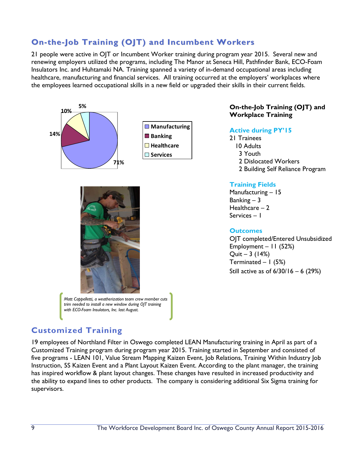# **On-the-Job Training (OJT) and Incumbent Workers**

21 people were active in OJT or Incumbent Worker training during program year 2015. Several new and renewing employers utilized the programs, including The Manor at Seneca Hill, Pathfinder Bank, ECO-Foam Insulators Inc. and Huhtamaki NA. Training spanned a variety of in-demand occupational areas including healthcare, manufacturing and financial services. All training occurred at the employers' workplaces where the employees learned occupational skills in a new field or upgraded their skills in their current fields.





*Matt Cappelletti, a weatherization team crew member cuts trim needed to install a new window during OJT training with ECO-Foam Insulators, Inc. last August.* 

#### **On-the-Job Training (OJT) and Workplace Training**

#### **Active during PY'15**

21 Trainees 10 Adults 3 Youth 2 Dislocated Workers 2 Building Self Reliance Program

#### **Training Fields**

Manufacturing – 15 Banking  $-3$ Healthcare  $-2$ Services – 1

#### **Outcomes**

OJT completed/Entered Unsubsidized Employment – 11 (52%) Quit – 3 (14%) Terminated  $-1$  (5%) Still active as of 6/30/16 – 6 (29%)

# **Customized Training**

19 employees of Northland Filter in Oswego completed LEAN Manufacturing training in April as part of a Customized Training program during program year 2015. Training started in September and consisted of five programs - LEAN 101, Value Stream Mapping Kaizen Event, Job Relations, Training Within Industry Job Instruction, 5S Kaizen Event and a Plant Layout Kaizen Event. According to the plant manager, the training has inspired workflow & plant layout changes. These changes have resulted in increased productivity and the ability to expand lines to other products. The company is considering additional Six Sigma training for supervisors.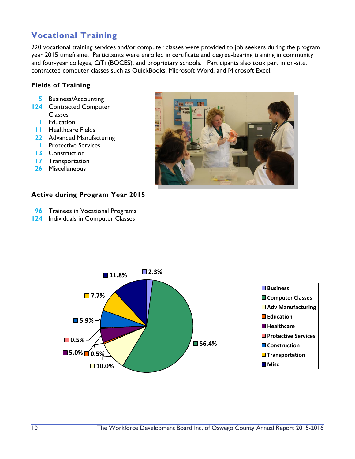# **Vocational Training**

220 vocational training services and/or computer classes were provided to job seekers during the program year 2015 timeframe. Participants were enrolled in certificate and degree-bearing training in community and four-year colleges, CiTi (BOCES), and proprietary schools. Participants also took part in on-site, contracted computer classes such as QuickBooks, Microsoft Word, and Microsoft Excel.

#### **Fields of Training**

- **5** Business/Accounting
- **124** Contracted Computer Classes **1** Education
	-
- **11** Healthcare Fields
- **22** Advanced Manufacturing
- **1** Protective Services
- **13** Construction
- **17** Transportation
- **26** Miscellaneous



#### **Active during Program Year 2015**

- **96** Trainees in Vocational Programs
- **124** Individuals in Computer Classes

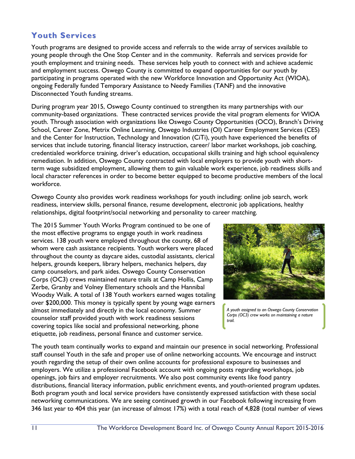# **Youth Services**

Youth programs are designed to provide access and referrals to the wide array of services available to young people through the One Stop Center and in the community. Referrals and services provide for youth employment and training needs. These services help youth to connect with and achieve academic and employment success. Oswego County is committed to expand opportunities for our youth by participating in programs operated with the new Workforce Innovation and Opportunity Act (WIOA), ongoing Federally funded Temporary Assistance to Needy Families (TANF) and the innovative Disconnected Youth funding streams.

During program year 2015, Oswego County continued to strengthen its many partnerships with our community-based organizations. These contracted services provide the vital program elements for WIOA youth. Through association with organizations like Oswego County Opportunities (OCO), Branch's Driving School, Career Zone, Metrix Online Learning, Oswego Industries (OI) Career Employment Services (CES) and the Center for Instruction, Technology and Innovation (CiTi), youth have experienced the benefits of services that include tutoring, financial literacy instruction, career/ labor market workshops, job coaching, credentialed workforce training, driver's education, occupational skills training and high school equivalency remediation. In addition, Oswego County contracted with local employers to provide youth with shortterm wage subsidized employment, allowing them to gain valuable work experience, job readiness skills and local character references in order to become better equipped to become productive members of the local workforce.

Oswego County also provides work readiness workshops for youth including: online job search, work readiness, interview skills, personal finance, resume development, electronic job applications, healthy relationships, digital footprint/social networking and personality to career matching.

The 2015 Summer Youth Works Program continued to be one of the most effective programs to engage youth in work readiness services. 138 youth were employed throughout the county, 68 of whom were cash assistance recipients. Youth workers were placed throughout the county as daycare aides, custodial assistants, clerical helpers, grounds keepers, library helpers, mechanics helpers, day camp counselors, and park aides. Oswego County Conservation Corps (OC3) crews maintained nature trails at Camp Hollis, Camp Zerbe, Granby and Volney Elementary schools and the Hannibal Woodsy Walk. A total of 138 Youth workers earned wages totaling over \$200,000. This money is typically spent by young wage earners almost immediately and directly in the local economy. Summer counselor staff provided youth with work readiness sessions covering topics like social and professional networking, phone etiquette, job readiness, personal finance and customer service.



*A youth assigned to an Oswego County Conservation Corps (OC3) crew works on maintaining a nature trail.*

The youth team continually works to expand and maintain our presence in social networking. Professional staff counsel Youth in the safe and proper use of online networking accounts. We encourage and instruct youth regarding the setup of their own online accounts for professional exposure to businesses and employers. We utilize a professional Facebook account with ongoing posts regarding workshops, job openings, job fairs and employer recruitments. We also post community events like food pantry distributions, financial literacy information, public enrichment events, and youth-oriented program updates. Both program youth and local service providers have consistently expressed satisfaction with these social networking communications. We are seeing continued growth in our Facebook following increasing from 346 last year to 404 this year (an increase of almost 17%) with a total reach of 4,828 (total number of views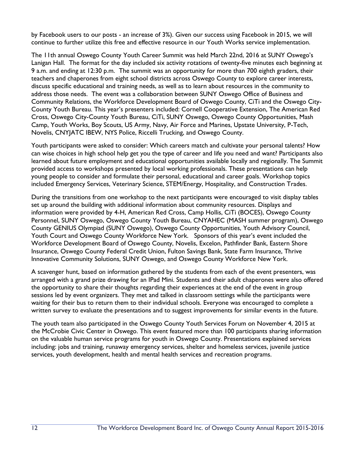by Facebook users to our posts - an increase of 3%). Given our success using Facebook in 2015, we will continue to further utilize this free and effective resource in our Youth Works service implementation.

The 11th annual Oswego County Youth Career Summit was held March 22nd, 2016 at SUNY Oswego's Lanigan Hall. The format for the day included six activity rotations of twenty-five minutes each beginning at 9 a.m. and ending at 12:30 p.m. The summit was an opportunity for more than 700 eighth graders, their teachers and chaperones from eight school districts across Oswego County to explore career interests, discuss specific educational and training needs, as well as to learn about resources in the community to address those needs. The event was a collaboration between SUNY Oswego Office of Business and Community Relations, the Workforce Development Board of Oswego County, CiTi and the Oswego City-County Youth Bureau. This year's presenters included: Cornell Cooperative Extension, The American Red Cross, Oswego City-County Youth Bureau, CiTi, SUNY Oswego, Oswego County Opportunities, Mash Camp, Youth Works, Boy Scouts, US Army, Navy, Air Force and Marines, Upstate University, P-Tech, Novelis, CNYJATC IBEW, NYS Police, Riccelli Trucking, and Oswego County.

Youth participants were asked to consider: Which careers match and cultivate your personal talents? How can wise choices in high school help get you the type of career and life you need and want? Participants also learned about future employment and educational opportunities available locally and regionally. The Summit provided access to workshops presented by local working professionals. These presentations can help young people to consider and formulate their personal, educational and career goals. Workshop topics included Emergency Services, Veterinary Science, STEM/Energy, Hospitality, and Construction Trades.

During the transitions from one workshop to the next participants were encouraged to visit display tables set up around the building with additional information about community resources. Displays and information were provided by 4-H, American Red Cross, Camp Hollis, CiTi (BOCES), Oswego County Personnel, SUNY Oswego, Oswego County Youth Bureau, CNYAHEC (MASH summer program), Oswego County GENIUS Olympiad (SUNY Oswego), Oswego County Opportunities, Youth Advisory Council, Youth Court and Oswego County Workforce New York. Sponsors of this year's event included the Workforce Development Board of Oswego County, Novelis, Excelon, Pathfinder Bank, Eastern Shore Insurance, Oswego County Federal Credit Union, Fulton Savings Bank, State Farm Insurance, Thrive Innovative Community Solutions, SUNY Oswego, and Oswego County Workforce New York.

A scavenger hunt, based on information gathered by the students from each of the event presenters, was arranged with a grand prize drawing for an IPad Mini. Students and their adult chaperones were also offered the opportunity to share their thoughts regarding their experiences at the end of the event in group sessions led by event organizers. They met and talked in classroom settings while the participants were waiting for their bus to return them to their individual schools. Everyone was encouraged to complete a written survey to evaluate the presentations and to suggest improvements for similar events in the future.

The youth team also participated in the Oswego County Youth Services Forum on November 4, 2015 at the McCrobie Civic Center in Oswego. This event featured more than 100 participants sharing information on the valuable human service programs for youth in Oswego County. Presentations explained services including: jobs and training, runaway emergency services, shelter and homeless services, juvenile justice services, youth development, health and mental health services and recreation programs.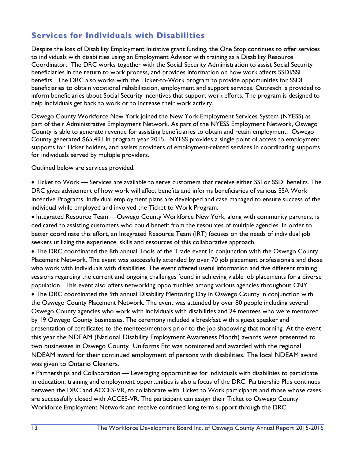# **Services for Individuals with Disabilities**

Despite the loss of Disability Employment Initiative grant funding, the One Stop continues to offer services to individuals with disabilities using an Employment Advisor with training as a Disability Resource Coordinator. The DRC works together with the Social Security Administration to assist Social Security beneficiaries in the return to work process, and provides information on how work affects SSDI/SSI benefits. The DRC also works with the Ticket-to-Work program to provide opportunities for SSDI beneficiaries to obtain vocational rehabilitation, employment and support services. Outreach is provided to inform beneficiaries about Social Security incentives that support work efforts. The program is designed to help individuals get back to work or to increase their work activity.

Oswego County Workforce New York joined the New York Employment Services System (NYESS) as part of their Administrative Employment Network. As part of the NYESS Employment Network, Oswego County is able to generate revenue for assisting beneficiaries to obtain and retain employment. Oswego County generated \$65,491 in program year 2015. NYESS provides a single point of access to employment supports for Ticket holders, and assists providers of employment-related services in coordinating supports for individuals served by multiple providers.

Outlined below are services provided:

was given to Ontario Cleaners.

 Ticket to Work — Services are available to serve customers that receive either SSI or SSDI benefits. The DRC gives advisement of how work will affect benefits and informs beneficiaries of various SSA Work Incentive Programs. Individual employment plans are developed and case managed to ensure success of the individual while employed and involved the Ticket to Work Program.

• Integrated Resource Team —Oswego County Workforce New York, along with community partners, is dedicated to assisting customers who could benefit from the resources of multiple agencies. In order to better coordinate this effort, an Integrated Resource Team (IRT) focuses on the needs of individual job seekers utilizing the experience, skills and resources of this collaborative approach.

• The DRC coordinated the 8th annual Tools of the Trade event in conjunction with the Oswego County Placement Network. The event was successfully attended by over 70 job placement professionals and those who work with individuals with disabilities. The event offered useful information and five different training sessions regarding the current and ongoing challenges found in achieving viable job placements for a diverse population. This event also offers networking opportunities among various agencies throughout CNY. The DRC coordinated the 9th annual Disability Mentoring Day in Oswego County in conjunction with the Oswego County Placement Network. The event was attended by over 80 people including several Oswego County agencies who work with individuals with disabilities and 24 mentees who were mentored by 19 Oswego County businesses. The ceremony included a breakfast with a guest speaker and presentation of certificates to the mentees/mentors prior to the job shadowing that morning. At the event this year the NDEAM (National Disability Employment Awareness Month) awards were presented to two businesses in Oswego County. Uniforms Etc was nominated and awarded with the regional NDEAM award for their continued employment of persons with disabilities. The local NDEAM award

 Partnerships and Collaboration — Leveraging opportunities for individuals with disabilities to participate in education, training and employment opportunities is also a focus of the DRC. Partnership Plus continues between the DRC and ACCES-VR, to collaborate with Ticket to Work participants and those whose cases are successfully closed with ACCES-VR. The participant can assign their Ticket to Oswego County Workforce Employment Network and receive continued long term support through the DRC.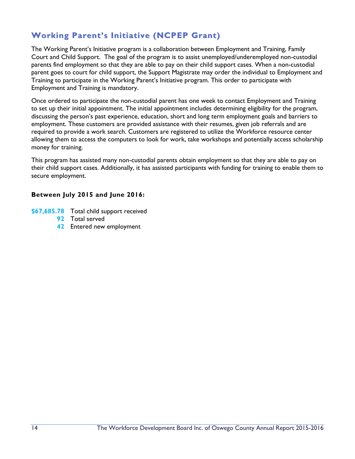# **Working Parent's Initiative (NCPEP Grant)**

The Working Parent's Initiative program is a collaboration between Employment and Training, Family Court and Child Support. The goal of the program is to assist unemployed/underemployed non-custodial parents find employment so that they are able to pay on their child support cases. When a non-custodial parent goes to court for child support, the Support Magistrate may order the individual to Employment and Training to participate in the Working Parent's Initiative program. This order to participate with Employment and Training is mandatory.

Once ordered to participate the non-custodial parent has one week to contact Employment and Training to set up their initial appointment. The initial appointment includes determining eligibility for the program, discussing the person's past experience, education, short and long term employment goals and barriers to employment. These customers are provided assistance with their resumes, given job referrals and are required to provide a work search. Customers are registered to utilize the Workforce resource center allowing them to access the computers to look for work, take workshops and potentially access scholarship money for training.

This program has assisted many non-custodial parents obtain employment so that they are able to pay on their child support cases. Additionally, it has assisted participants with funding for training to enable them to secure employment.

#### **Between July 2015 and June 2016:**

- **\$67,685.78** Total child support received
	- **92** Total served
	- **42** Entered new employment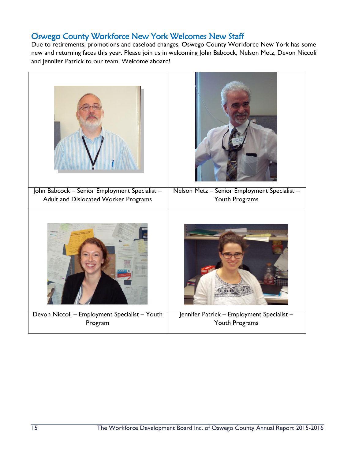## Oswego County Workforce New York Welcomes New Staff

Due to retirements, promotions and caseload changes, Oswego County Workforce New York has some new and returning faces this year. Please join us in welcoming John Babcock, Nelson Metz, Devon Niccoli and Jennifer Patrick to our team. Welcome aboard!

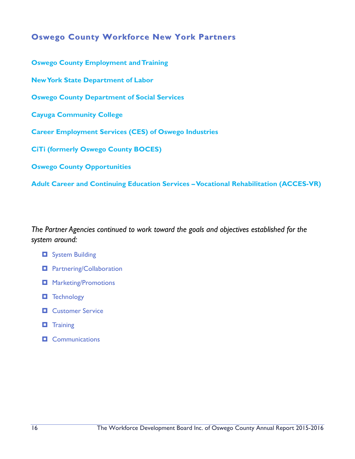## **Oswego County Workforce New York Partners**

**Oswego County Employment and Training New York State Department of Labor Oswego County Department of Social Services Cayuga Community College Career Employment Services (CES) of Oswego Industries CiTi (formerly Oswego County BOCES) Oswego County Opportunities** 

**Adult Career and Continuing Education Services –Vocational Rehabilitation (ACCES-VR)**

*The Partner Agencies continued to work toward the goals and objectives established for the system around:*

- $\Box$  System Building
- **D** Partnering/Collaboration
- $\Box$  Marketing/Promotions
- **T** Technology
- **D** Customer Service
- **T** Training
- $\Box$  Communications